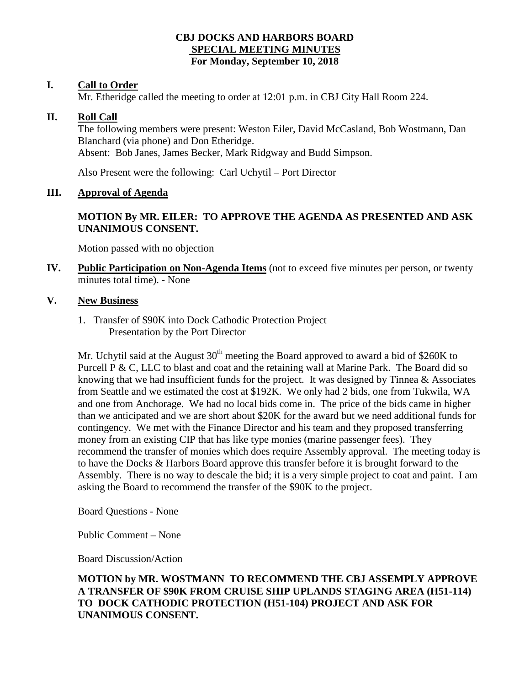## **CBJ DOCKS AND HARBORS BOARD SPECIAL MEETING MINUTES For Monday, September 10, 2018**

## **I. Call to Order**

Mr. Etheridge called the meeting to order at 12:01 p.m. in CBJ City Hall Room 224.

### **II. Roll Call**

The following members were present: Weston Eiler, David McCasland, Bob Wostmann, Dan Blanchard (via phone) and Don Etheridge. Absent: Bob Janes, James Becker, Mark Ridgway and Budd Simpson.

Also Present were the following: Carl Uchytil – Port Director

## **III. Approval of Agenda**

# **MOTION By MR. EILER: TO APPROVE THE AGENDA AS PRESENTED AND ASK UNANIMOUS CONSENT.**

Motion passed with no objection

**IV. Public Participation on Non-Agenda Items** (not to exceed five minutes per person, or twenty minutes total time). - None

### **V. New Business**

1. Transfer of \$90K into Dock Cathodic Protection Project Presentation by the Port Director

Mr. Uchytil said at the August  $30<sup>th</sup>$  meeting the Board approved to award a bid of \$260K to Purcell P & C, LLC to blast and coat and the retaining wall at Marine Park. The Board did so knowing that we had insufficient funds for the project. It was designed by Tinnea & Associates from Seattle and we estimated the cost at \$192K. We only had 2 bids, one from Tukwila, WA and one from Anchorage. We had no local bids come in. The price of the bids came in higher than we anticipated and we are short about \$20K for the award but we need additional funds for contingency. We met with the Finance Director and his team and they proposed transferring money from an existing CIP that has like type monies (marine passenger fees). They recommend the transfer of monies which does require Assembly approval. The meeting today is to have the Docks & Harbors Board approve this transfer before it is brought forward to the Assembly. There is no way to descale the bid; it is a very simple project to coat and paint. I am asking the Board to recommend the transfer of the \$90K to the project.

Board Questions - None

Public Comment – None

Board Discussion/Action

# **MOTION by MR. WOSTMANN TO RECOMMEND THE CBJ ASSEMPLY APPROVE A TRANSFER OF \$90K FROM CRUISE SHIP UPLANDS STAGING AREA (H51-114) TO DOCK CATHODIC PROTECTION (H51-104) PROJECT AND ASK FOR UNANIMOUS CONSENT.**